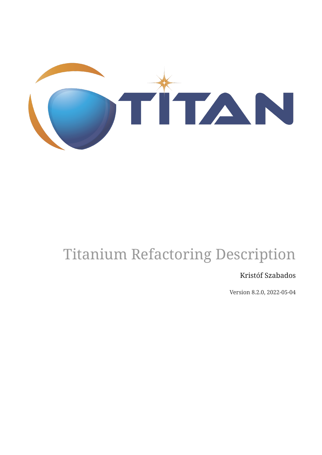

# Titanium Refactoring Description

#### Kristóf Szabados

Version 8.2.0, 2022-05-04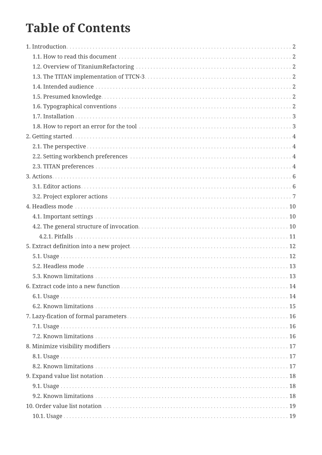# **Table of Contents**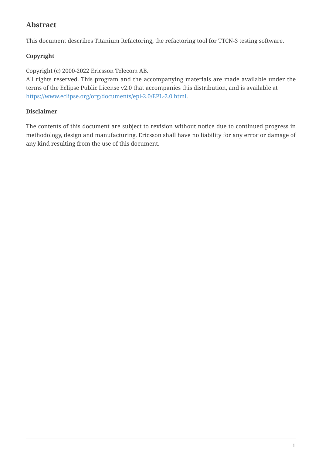#### **Abstract**

This document describes Titanium Refactoring, the refactoring tool for TTCN-3 testing software.

#### **Copyright**

Copyright (c) 2000-2022 Ericsson Telecom AB.

All rights reserved. This program and the accompanying materials are made available under the terms of the Eclipse Public License v2.0 that accompanies this distribution, and is available at [https://www.eclipse.org/org/documents/epl-2.0/EPL-2.0.html.](https://www.eclipse.org/org/documents/epl-2.0/EPL-2.0.html)

#### **Disclaimer**

The contents of this document are subject to revision without notice due to continued progress in methodology, design and manufacturing. Ericsson shall have no liability for any error or damage of any kind resulting from the use of this document.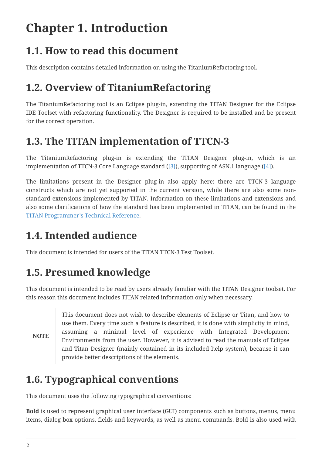# <span id="page-4-0"></span>**Chapter 1. Introduction**

### <span id="page-4-1"></span>**1.1. How to read this document**

This description contains detailed information on using the TitaniumRefactoring tool.

### <span id="page-4-2"></span>**1.2. Overview of TitaniumRefactoring**

The TitaniumRefactoring tool is an Eclipse plug-in, extending the TITAN Designer for the Eclipse IDE Toolset with refactoring functionality. The Designer is required to be installed and be present for the correct operation.

### <span id="page-4-3"></span>**1.3. The TITAN implementation of TTCN-3**

The TitaniumRefactoring plug-in is extending the TITAN Designer plug-in, which is an implementation of TTCN-3 Core Language standard [\(\[3\]\)](#page-36-1), supporting of ASN.1 language ([\[4\]](#page-36-2)).

The limitations present in the Designer plug-in also apply here: there are TTCN-3 language constructs which are not yet supported in the current version, while there are also some nonstandard extensions implemented by TITAN. Information on these limitations and extensions and also some clarifications of how the standard has been implemented in TITAN, can be found in the [TITAN Programmer's Technical Reference.](#page-36-3)

## <span id="page-4-4"></span>**1.4. Intended audience**

This document is intended for users of the TITAN TTCN-3 Test Toolset.

## <span id="page-4-5"></span>**1.5. Presumed knowledge**

This document is intended to be read by users already familiar with the TITAN Designer toolset. For this reason this document includes TITAN related information only when necessary.

**NOTE** This document does not wish to describe elements of Eclipse or Titan, and how to use them. Every time such a feature is described, it is done with simplicity in mind, assuming a minimal level of experience with Integrated Development Environments from the user. However, it is advised to read the manuals of Eclipse and Titan Designer (mainly contained in its included help system), because it can provide better descriptions of the elements.

# <span id="page-4-6"></span>**1.6. Typographical conventions**

This document uses the following typographical conventions:

**Bold** is used to represent graphical user interface (GUI) components such as buttons, menus, menu items, dialog box options, fields and keywords, as well as menu commands. Bold is also used with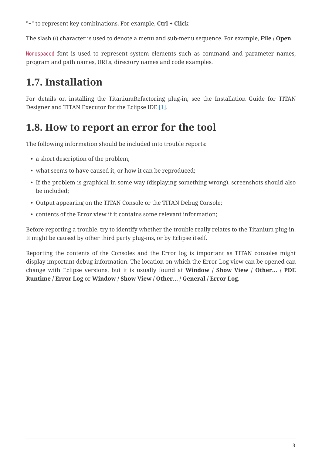"+" to represent key combinations. For example, **Ctrl + Click**

The slash (/) character is used to denote a menu and sub-menu sequence. For example, **File / Open**.

Monospaced font is used to represent system elements such as command and parameter names, program and path names, URLs, directory names and code examples.

## <span id="page-5-0"></span>**1.7. Installation**

For details on installing the TitaniumRefactoring plug-in, see the Installation Guide for TITAN Designer and TITAN Executor for the Eclipse IDE [\[1\]](#page-36-4).

#### <span id="page-5-1"></span>**1.8. How to report an error for the tool**

The following information should be included into trouble reports:

- a short description of the problem;
- what seems to have caused it, or how it can be reproduced;
- If the problem is graphical in some way (displaying something wrong), screenshots should also be included;
- Output appearing on the TITAN Console or the TITAN Debug Console;
- contents of the Error view if it contains some relevant information;

Before reporting a trouble, try to identify whether the trouble really relates to the Titanium plug-in. It might be caused by other third party plug-ins, or by Eclipse itself.

Reporting the contents of the Consoles and the Error log is important as TITAN consoles might display important debug information. The location on which the Error Log view can be opened can change with Eclipse versions, but it is usually found at **Window / Show View / Other… / PDE Runtime / Error Log** or **Window / Show View / Other… / General / Error Log**.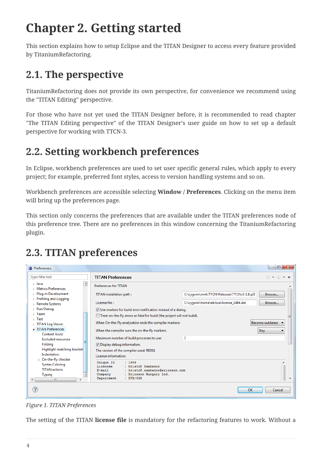# <span id="page-6-0"></span>**Chapter 2. Getting started**

This section explains how to setup Eclipse and the TITAN Designer to access every feature provided by TitaniumRefactoring.

# <span id="page-6-1"></span>**2.1. The perspective**

TitaniumRefactoring does not provide its own perspective, for convenience we recommend using the "TITAN Editing" perspective.

For those who have not yet used the TITAN Designer before, it is recommended to read chapter "The TITAN Editing perspective" of the TITAN Designer's user guide on how to set up a default perspective for working with TTCN-3.

# <span id="page-6-2"></span>**2.2. Setting workbench preferences**

In Eclipse, workbench preferences are used to set user specific general rules, which apply to every project; for example, preferred font styles, access to version handling systems and so on.

Workbench preferences are accessible selecting **Window / Preferences**. Clicking on the menu item will bring up the preferences page.

This section only concerns the preferences that are available under the TITAN preferences node of this preference tree. There are no preferences in this window concerning the TitaniumRefactoring plugin.

# <span id="page-6-3"></span>**2.3. TITAN preferences**

| Preferences                                                                                        |                                                                                                                                                                     |                                            | $\Box$                                                              |
|----------------------------------------------------------------------------------------------------|---------------------------------------------------------------------------------------------------------------------------------------------------------------------|--------------------------------------------|---------------------------------------------------------------------|
| type filter text                                                                                   | <b>TITAN Preferences</b>                                                                                                                                            |                                            | $\triangle$ $\rightarrow$ $\Rightarrow$ $\rightarrow$ $\rightarrow$ |
| $\blacktriangle$<br>$\triangleright$ Java<br><b>Metrics Preferences</b>                            | <b>Preferences for TITAN</b>                                                                                                                                        |                                            |                                                                     |
| Plug-in Development<br>$\triangleright$ Profiling and Logging                                      | TITAN installation path:                                                                                                                                            | C:\cyqwin\mnt\TTCN\Releases\TTCNv3-1.8.pl3 | Browse                                                              |
| Remote Systems                                                                                     | License file:                                                                                                                                                       | C:\cyqwin\home\ekrisza\license_1484.dat    | Browse                                                              |
| ⊳ Run/Debug                                                                                        | V Use markers for build error notification instead of a dialog.                                                                                                     |                                            |                                                                     |
| $\triangleright$ Team<br>$\triangleright$ Test                                                     | Treat on-the-fly errors as fatal for build (the project will not build).                                                                                            |                                            |                                                                     |
| $\triangleright$ TITAN Log Viewer                                                                  | When On-the-Fly analyzation ends the compiler markers:                                                                                                              | Become outdated                            |                                                                     |
| TITAN Preferences<br><b>Content Assist</b>                                                         | When the compiler runs the on-the-fly markers:                                                                                                                      | Stay                                       |                                                                     |
| <b>Excluded resources</b>                                                                          | Maximum number of build processes to use:                                                                                                                           | $\overline{2}$                             |                                                                     |
| Folding                                                                                            | Display debug information.                                                                                                                                          |                                            |                                                                     |
| Highlight matching bracket<br>Indentation                                                          | The version of the compiler used: R8D01<br>License information:                                                                                                     |                                            |                                                                     |
| ▷ On-the-fly checker<br><b>Syntax Coloring</b><br><b>TITAN actions</b><br><b>Typing</b><br>m.<br>∢ | Unique ID<br>: 1484<br>: Kristóf Szabados<br>Licensee<br>: kristof.szabados@ericsson.com<br>E-mail<br>: Ericsson Hungary Ltd.<br>Company<br>: ETH/RZX<br>Department |                                            |                                                                     |
| ?                                                                                                  |                                                                                                                                                                     | OK                                         | Cancel                                                              |

*Figure 1. TITAN Preferences*

The setting of the TITAN **license file** is mandatory for the refactoring features to work. Without a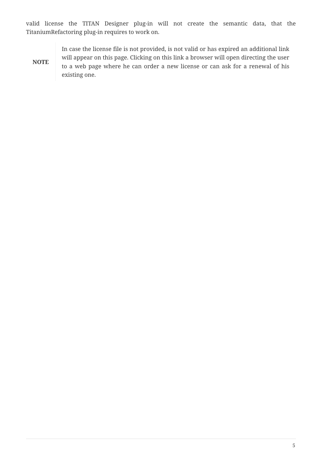valid license the TITAN Designer plug-in will not create the semantic data, that the TitaniumRefactoring plug-in requires to work on.

**NOTE**

In case the license file is not provided, is not valid or has expired an additional link will appear on this page. Clicking on this link a browser will open directing the user to a web page where he can order a new license or can ask for a renewal of his existing one.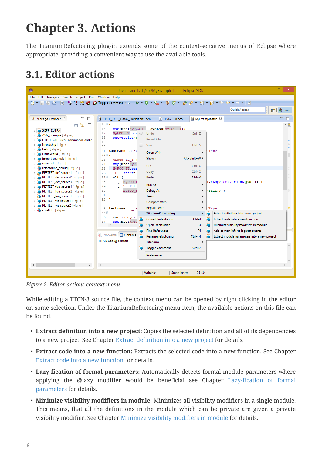# <span id="page-8-0"></span>**Chapter 3. Actions**

The TitaniumRefactoring plug-in extends some of the context-sensitive menus of Eclipse where appropriate, providing a convenient way to use the available tools.

## <span id="page-8-1"></span>**3.1. Editor actions**

| ⊜                                                                                                  |                                                | Java - smells1b/src/MyExample.ttcn - Eclipse SDK |                  | $\Box$<br>$\mathsf{x}$                       |
|----------------------------------------------------------------------------------------------------|------------------------------------------------|--------------------------------------------------|------------------|----------------------------------------------|
| File Edit Navigate Search Project Run Window Help                                                  |                                                |                                                  |                  |                                              |
| ■ ↑ ■ ☞ ☞ │ № № ₩ ₩ ₩ № ⊙ № 9 Toggle Comment ┆╲┆ねヽQ ヽQ ヽ¦ ₩ ⊙ ヽ;@ ∥ ~ ¦ ∴ 7 - {} - {p - {p - } - } |                                                |                                                  |                  |                                              |
| <sup>身」</sup> Java<br><b>Quick Access</b><br>昏                                                     |                                                |                                                  |                  |                                              |
|                                                                                                    |                                                |                                                  |                  |                                              |
| $\equiv$<br>  Package Explorer ※<br>⊟                                                              | 3 EPTF_CLL_Base_Definitions.ttcn               | 3 HS47680.ttcn                                   | MyExample.ttcn & | $\qquad \qquad =\qquad$<br>$\Box$            |
| ▽<br>\$<br>戶                                                                                       | 1504                                           |                                                  |                  | $\wedge$ $\Box$                              |
| <b>3GPP EUTRA</b>                                                                                  | 16<br>17                                       | map(mtc:MyPCO PT, system:MyPCO PT);              |                  |                                              |
| ASN_Example [-fg-e]                                                                                | MyPCO_PT.sen<br>18<br>setverdict (p            | Undo                                             | $Ctrl + Z$       |                                              |
| f_EPTF_CLI_Client_commandHandle                                                                    | 19 <sup>1</sup>                                | <b>Revert File</b>                               |                  |                                              |
| friendship [-fg-e]                                                                                 | 20                                             | $\mathbb{R}$<br>Save                             | $Ctrl + S$       |                                              |
| hello $[-fq -e]$<br>HelloWorld [ -fg -e]                                                           | 21<br>testcase to He                           | Open With                                        | CType            |                                              |
| import_example [ -fg -e ]                                                                          | 2201<br>23<br>timer TL T :                     | Show In                                          | Alt+Shift+W ▶    |                                              |
| $minimal$ [ -fg -e]                                                                                | map (mtc: MyPC<br>24                           |                                                  |                  |                                              |
| $\triangleright$ in refactoring debug [ -fg -e ]                                                   | 25<br>MyPCO PT.sen                             | Cut                                              | $Ctrl+X$         |                                              |
| REFTEST_def_source1 [-fg-e]                                                                        | 26<br>TL T.start;                              | Copy                                             | $Ctrl + C$       |                                              |
| REFTEST_def_source2 [-fg-e]                                                                        | $27\Theta$<br>$alt$ {                          | Paste                                            | $Ctrl + V$       |                                              |
| REFTEST_def_source3 [-fg-e]<br>REFTEST_fun_source1 [-fg-e]                                         | [] MyPCO F<br>28<br>29<br>$[1$ $TL$ $T$ . $ti$ | Run As                                           | ٠                | T.stop; setverdict(pass); }                  |
| REFTEST_fun_source2 [-fg-e]                                                                        | 30<br>[] MyPCO E                               | Debug As                                         | (fail);<br>٠     |                                              |
| > > REFTEST_log_source1 [ -fg -e ]                                                                 | 31<br>3                                        | Team                                             |                  |                                              |
| REFTEST_vis_source1 [-fg-e]<br>$\triangleright$ 10                                                 | 32<br>Þ                                        | <b>Compare With</b>                              | ٠                |                                              |
| D (OREFTEST_vis_source2 [ -fg -e ]                                                                 | 33<br>34                                       | <b>Replace With</b>                              | ۲<br>CType       |                                              |
| $\triangleright$ $\bullet$ smells1b [-fg-e]                                                        | testcase to He<br>$35^\circ$ {                 | TitaniumRefactoring                              | ٠                | Extract definition into a new project        |
|                                                                                                    | 36<br>var integer                              | <b>Correct Indentation</b>                       | $Ctrl + I$       | Extract code into a new function             |
|                                                                                                    | 37<br>map (mtc: MyPC                           |                                                  |                  |                                              |
|                                                                                                    |                                                | <b>Open Declaration</b>                          | F3               | Minimize visibility modifiers in module      |
|                                                                                                    | <b>Report El Console</b>                       | <b>Find References</b>                           | F <sub>4</sub>   | Add context info to log statements           |
|                                                                                                    |                                                | Rename refactoring                               | Ctrl+F4          | Extract module parameters into a new project |
|                                                                                                    | <b>TITAN Debug console</b>                     | Titanium                                         |                  |                                              |
|                                                                                                    |                                                | <b>Toggle Comment</b>                            | $Ctrl+ /$        |                                              |
|                                                                                                    |                                                | Preferences                                      |                  |                                              |
|                                                                                                    |                                                |                                                  |                  |                                              |
| $\leq$<br>$\rightarrow$                                                                            | $\,<$                                          |                                                  |                  |                                              |
|                                                                                                    |                                                | Writable<br><b>Smart Insert</b>                  | 25:34            |                                              |
|                                                                                                    |                                                |                                                  |                  |                                              |

*Figure 2. Editor actions context menu*

While editing a TTCN-3 source file, the context menu can be opened by right clicking in the editor on some selection. Under the TitaniumRefactoring menu item, the available actions on this file can be found.

- **Extract definition into a new project:** Copies the selected definition and all of its dependencies to a new project. See Chapter [Extract definition into a new project](#page-14-0) for details.
- **Extract code into a new function:** Extracts the selected code into a new function. See Chapter [Extract code into a new function](#page-16-0) for details.
- **Lazy-fication of formal parameters:** Automatically detects formal module parameters where applying the @lazy modifier would be beneficial see Chapter [Lazy-fication of formal](#page-18-0) [parameters](#page-18-0) for details.
- **Minimize visibility modifiers in module:** Minimizes all visibility modifiers in a single module. This means, that all the definitions in the module which can be private are given a private visibility modifier. See Chapter [Minimize visibility modifiers in module](#page-19-0) for details.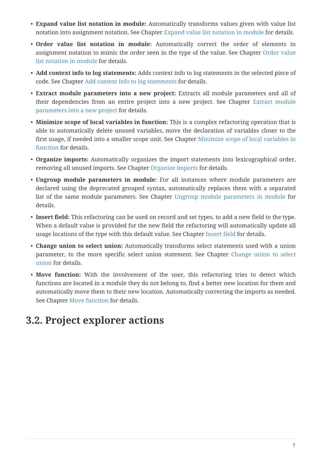- **Expand value list notation in module:** Automatically transforms values given with value list notation into assignment notation. See Chapter [Expand value list notation in module](#page-20-0) for details.
- **Order value list notation in module:** Automatically correct the order of elements in assignment notation to mimic the order seen in the type of the value. See Chapter [Order value](#page-21-0) [list notation in module](#page-21-0) for details.
- **Add context info to log statements:** Adds context info to log statements in the selected piece of code. See Chapter [Add context info to log statements](#page-22-0) for details.
- **Extract module parameters into a new project:** Extracts all module parameters and all of their dependencies from an entire project into a new project. See Chapter [Extract module](#page-24-0) [parameters into a new project](#page-24-0) for details.
- **Minimize scope of local variables in function:** This is a complex refactoring operation that is able to automatically delete unused variables, move the declaration of variables closer to the first usage, if needed into a smaller scope unit. See Chapter [Minimize scope of local variables in](#page-26-0) [function](#page-26-0) for details.
- **Organize imports:** Automatically organizes the import statements into lexicographical order, removing all unused imports. See Chapter [Organize imports](#page-29-0) for details.
- **Ungroup module parameters in module:** For all instances where module parameters are declared using the deprecated grouped syntax, automatically replaces them with a separated list of the same module parameters. See Chapter [Ungroup module parameters in module](#page-31-0) for details.
- **Insert field:** This refactoring can be used on record and set types, to add a new field to the type. When a default value is provided for the new field the refactoring will automatically update all usage locations of the type with this default value. See Chapter [Insert field](#page-32-0) for details.
- **Change union to select union:** Automatically transforms select statements used with a union parameter, to the more specific select union statement. See Chapter [Change union to select](#page-33-0) [union](#page-33-0) for details.
- Move function: With the involvement of the user, this refactoring tries to detect which functions are located in a module they do not belong to, find a better new location for them and automatically move them to their new location. Automatically correcting the imports as needed. See Chapter [Move function](#page-35-0) for details.

### <span id="page-9-0"></span>**3.2. Project explorer actions**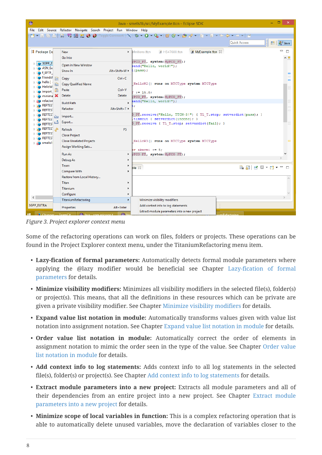| €                                                                 |                                       |                                    | Java - smells1b/src/MyExample.ttcn - Eclipse SDK                                        | $\Box$<br>$\boldsymbol{\times}$ |  |  |
|-------------------------------------------------------------------|---------------------------------------|------------------------------------|-----------------------------------------------------------------------------------------|---------------------------------|--|--|
| File Edit Source Refactor Navigate Search Project Run Window Help |                                       |                                    |                                                                                         |                                 |  |  |
|                                                                   |                                       |                                    |                                                                                         |                                 |  |  |
|                                                                   |                                       |                                    | <b>Quick Access</b>                                                                     | aJ Java<br>畔ー                   |  |  |
| # Package Ex                                                      | <b>New</b>                            | ×.                                 | <b>B</b> MyExample.ttcn $\%$<br>$\overline{\mathsf{a}}$ HS47680.ttcn<br>efinitions ttcn | $\equiv$<br>目                   |  |  |
|                                                                   | Go Into                               |                                    |                                                                                         | ∧□                              |  |  |
| 3GPP E                                                            | Open in New Window                    |                                    | vPCO PT, system: MyPCO PT) ;<br>send("Hello, world!");                                  |                                 |  |  |
| ASN_Ex                                                            | Show In                               | $Alt+Shift+W \rightarrow E(pass);$ |                                                                                         |                                 |  |  |
| f EPTF<br>friendsh                                                |                                       |                                    |                                                                                         |                                 |  |  |
| hello [ ·                                                         | Copy                                  | $Ctrl + C$                         | HelloW2() runs on MTCType system MTCType                                                | Ξ                               |  |  |
| 睁<br><b>HelloW</b>                                                | Copy Qualified Name                   | $Ctrl + V$                         |                                                                                         |                                 |  |  |
| import                                                            | Paste<br><b>Delete</b>                | <b>Delete</b>                      | $:= 15.0:$                                                                              |                                 |  |  |
| $minima$ $\times$<br>refactor                                     |                                       |                                    | yPCO PT, system: MyPCO PT);                                                             |                                 |  |  |
| <b>REFTES</b>                                                     | <b>Build Path</b>                     |                                    | send("Hello, world!");                                                                  |                                 |  |  |
| <b>REFTES</b>                                                     | Refactor                              | Alt+Shift+T ▶                      |                                                                                         |                                 |  |  |
| <b>REFTES</b><br>函                                                | Import                                |                                    | D PT. receive ("Hello, TTCN-3!") { TL T. stop; setverdict (pass); }                     |                                 |  |  |
| <b>REFTES</b><br><b>REFTEST</b>                                   | Export                                |                                    | timeout { setverdict(inconc); }<br>D PT. receive { TL T. stop; setverdict(fail); }      |                                 |  |  |
| <b>REFTEST</b><br>"\$                                             | Refresh                               | F <sub>5</sub>                     |                                                                                         |                                 |  |  |
| <b>REFTES</b>                                                     | <b>Close Project</b>                  |                                    |                                                                                         |                                 |  |  |
| <b>REFTES</b>                                                     | <b>Close Unrelated Projects</b>       |                                    | HelloW3() runs on MTCType system MTCType                                                |                                 |  |  |
| <b>En</b> smells1                                                 | Assign Working Sets                   |                                    |                                                                                         |                                 |  |  |
|                                                                   |                                       |                                    | $er$ akarmi $:= 5$ ;                                                                    |                                 |  |  |
|                                                                   | Run As                                |                                    | p vPCO PT, system: MyPCO PT) ;                                                          |                                 |  |  |
|                                                                   | Debug As<br>Team                      | ٠<br>٠                             |                                                                                         |                                 |  |  |
|                                                                   | Compare With                          |                                    | ole 23                                                                                  | $\qquad \qquad =$<br>$\Box$     |  |  |
|                                                                   | Restore from Local History            |                                    |                                                                                         |                                 |  |  |
|                                                                   | Titan                                 |                                    |                                                                                         |                                 |  |  |
|                                                                   | <b>Titanium</b>                       |                                    |                                                                                         |                                 |  |  |
|                                                                   | Configure                             | ٠                                  |                                                                                         |                                 |  |  |
| $\langle$                                                         | TitaniumRefactoring                   | ×                                  | Minimize visibility modifiers                                                           |                                 |  |  |
| <b>3GPP EUTRA</b>                                                 |                                       |                                    | Add context info to log statements                                                      |                                 |  |  |
|                                                                   | Properties                            | Alt+Enter                          | Extract module parameters into a new project                                            |                                 |  |  |
| $\mathbb{E}$ Che                                                  | $\triangle$ lava - com eri<br>TeamCit | $\triangle$                        |                                                                                         |                                 |  |  |

*Figure 3. Project explorer context menu*

Some of the refactoring operations can work on files, folders or projects. These operations can be found in the Project Explorer context menu, under the TitaniumRefactoring menu item.

- **Lazy-fication of formal parameters:** Automatically detects formal module parameters where applying the @lazy modifier would be beneficial see Chapter [Lazy-fication of formal](#page-18-0) [parameters](#page-18-0) for details.
- **Minimize visibility modifiers:** Minimizes all visibility modifiers in the selected file(s), folder(s) or project(s). This means, that all the definitions in these resources which can be private are given a private visibility modifier. See Chapter [Minimize visibility modifiers](#page-19-0) for details.
- **Expand value list notation in module:** Automatically transforms values given with value list notation into assignment notation. See Chapter [Expand value list notation in module](#page-20-0) for details.
- **Order value list notation in module:** Automatically correct the order of elements in assignment notation to mimic the order seen in the type of the value. See Chapter [Order value](#page-21-0) [list notation in module](#page-21-0) for details.
- **Add context info to log statements:** Adds context info to all log statements in the selected file(s), folder(s) or project(s). See Chapter [Add context info to log statements](#page-22-0) for details.
- **Extract module parameters into a new project:** Extracts all module parameters and all of their dependencies from an entire project into a new project. See Chapter [Extract module](#page-24-0) [parameters into a new project](#page-24-0) for details.
- **Minimize scope of local variables in function:** This is a complex refactoring operation that is able to automatically delete unused variables, move the declaration of variables closer to the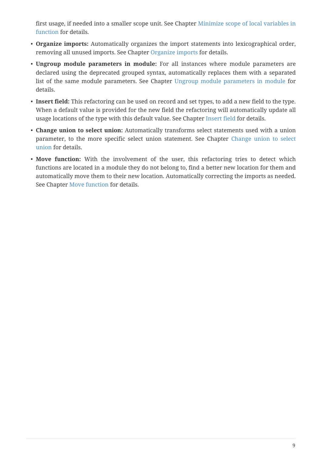first usage, if needed into a smaller scope unit. See Chapter [Minimize scope of local variables in](#page-26-0) [function](#page-26-0) for details.

- **Organize imports:** Automatically organizes the import statements into lexicographical order, removing all unused imports. See Chapter [Organize imports](#page-29-0) for details.
- **Ungroup module parameters in module:** For all instances where module parameters are declared using the deprecated grouped syntax, automatically replaces them with a separated list of the same module parameters. See Chapter [Ungroup module parameters in module](#page-31-0) for details.
- **Insert field:** This refactoring can be used on record and set types, to add a new field to the type. When a default value is provided for the new field the refactoring will automatically update all usage locations of the type with this default value. See Chapter [Insert field](#page-32-0) for details.
- **Change union to select union:** Automatically transforms select statements used with a union parameter, to the more specific select union statement. See Chapter [Change union to select](#page-33-0) [union](#page-33-0) for details.
- **Move function:** With the involvement of the user, this refactoring tries to detect which functions are located in a module they do not belong to, find a better new location for them and automatically move them to their new location. Automatically correcting the imports as needed. See Chapter [Move function](#page-35-0) for details.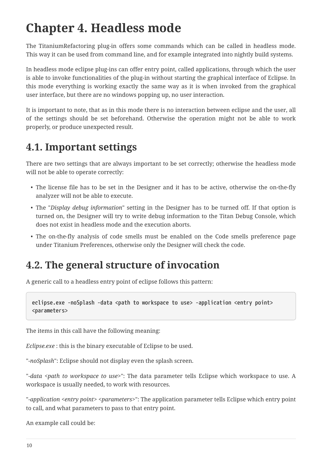# <span id="page-12-0"></span>**Chapter 4. Headless mode**

The TitaniumRefactoring plug-in offers some commands which can be called in headless mode. This way it can be used from command line, and for example integrated into nightly build systems.

In headless mode eclipse plug-ins can offer entry point, called applications, through which the user is able to invoke functionalities of the plug-in without starting the graphical interface of Eclipse. In this mode everything is working exactly the same way as it is when invoked from the graphical user interface, but there are no windows popping up, no user interaction.

It is important to note, that as in this mode there is no interaction between eclipse and the user, all of the settings should be set beforehand. Otherwise the operation might not be able to work properly, or produce unexpected result.

#### <span id="page-12-1"></span>**4.1. Important settings**

There are two settings that are always important to be set correctly; otherwise the headless mode will not be able to operate correctly:

- The license file has to be set in the Designer and it has to be active, otherwise the on-the-fly analyzer will not be able to execute.
- The "*Display debug information*" setting in the Designer has to be turned off. If that option is turned on, the Designer will try to write debug information to the Titan Debug Console, which does not exist in headless mode and the execution aborts.
- The on-the-fly analysis of code smells must be enabled on the Code smells preference page under Titanium Preferences, otherwise only the Designer will check the code.

### <span id="page-12-2"></span>**4.2. The general structure of invocation**

A generic call to a headless entry point of eclipse follows this pattern:

```
eclipse.exe -noSplash -data <path to workspace to use> -application <entry point>
<parameters>
```
The items in this call have the following meaning:

*Eclipse.exe* : this is the binary executable of Eclipse to be used.

"*-noSplash*": Eclipse should not display even the splash screen.

"*-data <path to workspace to use>*": The data parameter tells Eclipse which workspace to use. A workspace is usually needed, to work with resources.

"-application <entry point> <parameters>": The application parameter tells Eclipse which entry point to call, and what parameters to pass to that entry point.

An example call could be: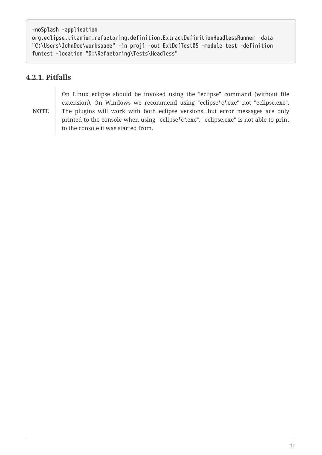```
-noSplash -application
org.eclipse.titanium.refactoring.definition.ExtractDefinitionHeadlessRunner -data
"C:\Users\JohnDoe\workspace" -in proj1 -out ExtDefTest05 -module test -definition
funtest -location "D:\Refactoring\Tests\Headless"
```
#### <span id="page-13-0"></span>**4.2.1. Pitfalls**

**NOTE**

On Linux eclipse should be invoked using the "eclipse" command (without file extension). On Windows we recommend using "eclipse\*c\*.exe" not "eclipse.exe". The plugins will work with both eclipse versions, but error messages are only printed to the console when using "eclipse\*c\*.exe". "eclipse.exe" is not able to print to the console it was started from.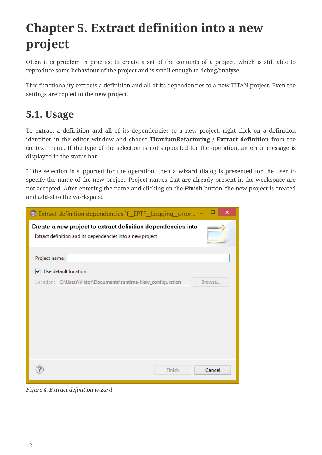# <span id="page-14-0"></span>**Chapter 5. Extract definition into a new project**

Often it is problem in practice to create a set of the contents of a project, which is still able to reproduce some behaviour of the project and is small enough to debug/analyse.

This functionality extracts a definition and all of its dependencies to a new TITAN project. Even the settings are copied to the new project.

### <span id="page-14-1"></span>**5.1. Usage**

To extract a definition and all of its dependencies to a new project, right click on a definition identifier in the editor window and choose **TitaniumRefactoring / Extract definition** from the context menu. If the type of the selection is not supported for the operation, an error message is displayed in the status bar.

If the selection is supported for the operation, then a wizard dialog is presented for the user to specify the name of the new project. Project names that are already present in the workspace are not accepted. After entering the name and clicking on the **Finish** button, the new project is created and added to the workspace.

| ×<br>Extract definition dependencies `f_EPTF_Logging_error                                                                 |
|----------------------------------------------------------------------------------------------------------------------------|
| Create a new project to extract definition dependencies into<br>Extract definition and its dependencies into a new project |
| Project name:                                                                                                              |
| √ Use default location                                                                                                     |
| Location: C:\Users\Viktor\Documents\runtime-New_configuration<br>Browse                                                    |
| Finish<br>Cancel                                                                                                           |

*Figure 4. Extract definition wizard*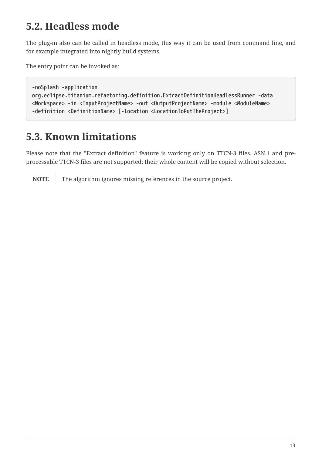### <span id="page-15-0"></span>**5.2. Headless mode**

The plug-in also can be called in headless mode, this way it can be used from command line, and for example integrated into nightly build systems.

The entry point can be invoked as:

```
-noSplash -application
org.eclipse.titanium.refactoring.definition.ExtractDefinitionHeadlessRunner -data
<Workspace> -in <InputProjectName> -out <OutputProjectName> -module <ModuleName>
-definition <DefinitionName> [-location <LocationToPutTheProject>]
```
### <span id="page-15-1"></span>**5.3. Known limitations**

Please note that the "Extract definition" feature is working only on TTCN-3 files. ASN.1 and preprocessable TTCN-3 files are not supported; their whole content will be copied without selection.

**NOTE** The algorithm ignores missing references in the source project.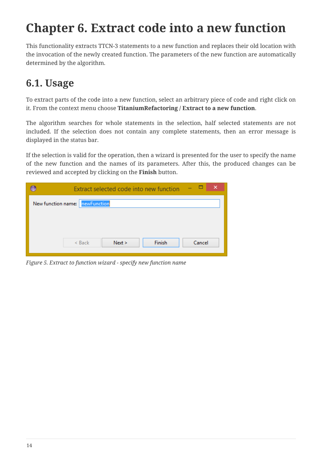# <span id="page-16-0"></span>**Chapter 6. Extract code into a new function**

This functionality extracts TTCN-3 statements to a new function and replaces their old location with the invocation of the newly created function. The parameters of the new function are automatically determined by the algorithm.

## <span id="page-16-1"></span>**6.1. Usage**

To extract parts of the code into a new function, select an arbitrary piece of code and right click on it. From the context menu choose **TitaniumRefactoring / Extract to a new function**.

The algorithm searches for whole statements in the selection, half selected statements are not included. If the selection does not contain any complete statements, then an error message is displayed in the status bar.

If the selection is valid for the operation, then a wizard is presented for the user to specify the name of the new function and the names of its parameters. After this, the produced changes can be reviewed and accepted by clicking on the **Finish** button.

| ×<br>-<br>Extract selected code into new function |
|---------------------------------------------------|
| New function name: newFunction                    |
|                                                   |
|                                                   |
| Finish<br>Cancel<br>Next ><br>$<$ Back            |
|                                                   |

*Figure 5. Extract to function wizard - specify new function name*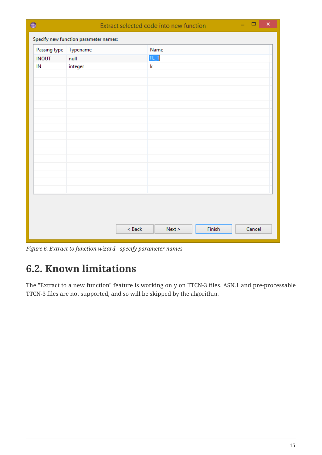| €  |              |                                       |        | Extract selected code into new function |        | $\Box$<br>×<br>÷ |
|----|--------------|---------------------------------------|--------|-----------------------------------------|--------|------------------|
|    |              | Specify new function parameter names: |        |                                         |        |                  |
|    | Passing type | Typename                              |        | Name                                    |        |                  |
|    | <b>INOUT</b> | null                                  |        | TL_T                                    |        |                  |
| IN |              | integer                               |        | k                                       |        |                  |
|    |              |                                       |        |                                         |        |                  |
|    |              |                                       |        |                                         |        |                  |
|    |              |                                       |        |                                         |        |                  |
|    |              |                                       |        |                                         |        |                  |
|    |              |                                       |        |                                         |        |                  |
|    |              |                                       |        |                                         |        |                  |
|    |              |                                       |        |                                         |        |                  |
|    |              |                                       |        |                                         |        |                  |
|    |              |                                       |        |                                         |        |                  |
|    |              |                                       |        |                                         |        |                  |
|    |              |                                       |        |                                         |        |                  |
|    |              |                                       |        |                                         |        |                  |
|    |              |                                       |        |                                         |        |                  |
|    |              |                                       |        |                                         |        |                  |
|    |              |                                       |        |                                         |        |                  |
|    |              |                                       | < Back | Next >                                  | Finish | Cancel           |
|    |              |                                       |        |                                         |        |                  |

*Figure 6. Extract to function wizard - specify parameter names*

# <span id="page-17-0"></span>**6.2. Known limitations**

The "Extract to a new function" feature is working only on TTCN-3 files. ASN.1 and pre-processable TTCN-3 files are not supported, and so will be skipped by the algorithm.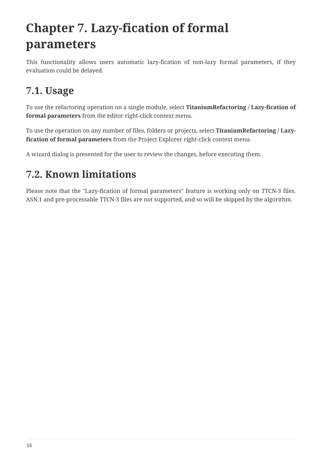# <span id="page-18-0"></span>**Chapter 7. Lazy-fication of formal parameters**

This functionality allows users automatic lazy-fication of non-lazy formal parameters, if they evaluation could be delayed.

### <span id="page-18-1"></span>**7.1. Usage**

To use the refactoring operation on a single module, select **TitaniumRefactoring / Lazy-fication of formal parameters** from the editor right-click context menu.

To use the operation on any number of files, folders or projects, select **TitaniumRefactoring / Lazyfication of formal parameters** from the Project Explorer right-click context menu.

A wizard dialog is presented for the user to review the changes, before executing them.

## <span id="page-18-2"></span>**7.2. Known limitations**

Please note that the "Lazy-fication of formal parameters" feature is working only on TTCN-3 files. ASN.1 and pre-processable TTCN-3 files are not supported, and so will be skipped by the algorithm.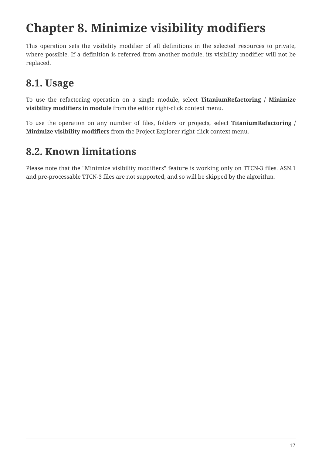# <span id="page-19-0"></span>**Chapter 8. Minimize visibility modifiers**

This operation sets the visibility modifier of all definitions in the selected resources to private, where possible. If a definition is referred from another module, its visibility modifier will not be replaced.

# <span id="page-19-1"></span>**8.1. Usage**

To use the refactoring operation on a single module, select **TitaniumRefactoring / Minimize visibility modifiers in module** from the editor right-click context menu.

To use the operation on any number of files, folders or projects, select **TitaniumRefactoring / Minimize visibility modifiers** from the Project Explorer right-click context menu.

## <span id="page-19-2"></span>**8.2. Known limitations**

Please note that the "Minimize visibility modifiers" feature is working only on TTCN-3 files. ASN.1 and pre-processable TTCN-3 files are not supported, and so will be skipped by the algorithm.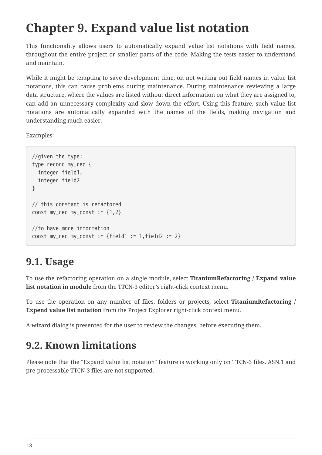# <span id="page-20-0"></span>**Chapter 9. Expand value list notation**

This functionality allows users to automatically expand value list notations with field names, throughout the entire project or smaller parts of the code. Making the tests easier to understand and maintain.

While it might be tempting to save development time, on not writing out field names in value list notations, this can cause problems during maintenance. During maintenance reviewing a large data structure, where the values are listed without direct information on what they are assigned to, can add an unnecessary complexity and slow down the effort. Using this feature, such value list notations are automatically expanded with the names of the fields, making navigation and understanding much easier.

Examples:

```
//given the type:
type record my_rec {
    integer field1,
    integer field2
}
// this constant is refactored
const my_rec my_const := \{1,2\}//to have more information
const my_rec my_const := {field1 := 1,field2 := 2}
```
### <span id="page-20-1"></span>**9.1. Usage**

To use the refactoring operation on a single module, select **TitaniumRefactoring / Expand value list notation in module** from the TTCN-3 editor's right-click context menu.

To use the operation on any number of files, folders or projects, select **TitaniumRefactoring / Expend value list notation** from the Project Explorer right-click context menu.

A wizard dialog is presented for the user to review the changes, before executing them.

### <span id="page-20-2"></span>**9.2. Known limitations**

Please note that the "Expand value list notation" feature is working only on TTCN-3 files. ASN.1 and pre-processable TTCN-3 files are not supported.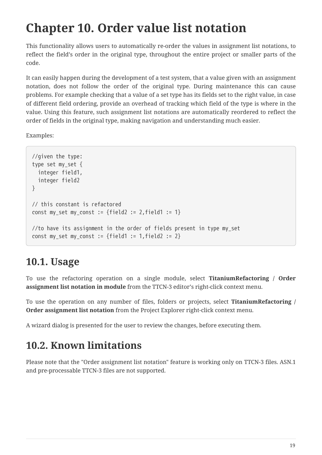# <span id="page-21-0"></span>**Chapter 10. Order value list notation**

This functionality allows users to automatically re-order the values in assignment list notations, to reflect the field's order in the original type, throughout the entire project or smaller parts of the code.

It can easily happen during the development of a test system, that a value given with an assignment notation, does not follow the order of the original type. During maintenance this can cause problems. For example checking that a value of a set type has its fields set to the right value, in case of different field ordering, provide an overhead of tracking which field of the type is where in the value. Using this feature, such assignment list notations are automatically reordered to reflect the order of fields in the original type, making navigation and understanding much easier.

Examples:

```
//given the type:
type set my_set {
    integer field1,
    integer field2
}
// this constant is refactored
const my_set my_const := {field2 := 2, field1 := 1}
//to have its assignment in the order of fields present in type my_set
const my_set my_const := {field1 := 1,field2 := 2}
```
### <span id="page-21-1"></span>**10.1. Usage**

To use the refactoring operation on a single module, select **TitaniumRefactoring / Order assignment list notation in module** from the TTCN-3 editor's right-click context menu.

To use the operation on any number of files, folders or projects, select **TitaniumRefactoring / Order assignment list notation** from the Project Explorer right-click context menu.

A wizard dialog is presented for the user to review the changes, before executing them.

## <span id="page-21-2"></span>**10.2. Known limitations**

Please note that the "Order assignment list notation" feature is working only on TTCN-3 files. ASN.1 and pre-processable TTCN-3 files are not supported.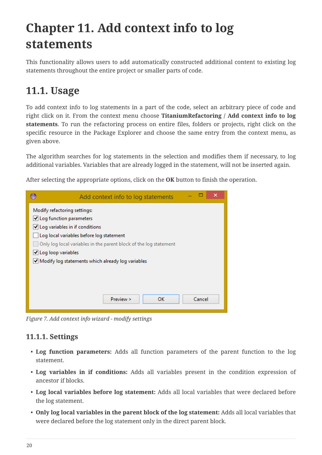# <span id="page-22-0"></span>**Chapter 11. Add context info to log statements**

This functionality allows users to add automatically constructed additional content to existing log statements throughout the entire project or smaller parts of code.

#### <span id="page-22-1"></span>**11.1. Usage**

To add context info to log statements in a part of the code, select an arbitrary piece of code and right click on it. From the context menu choose **TitaniumRefactoring / Add context info to log statements**. To run the refactoring process on entire files, folders or projects, right click on the specific resource in the Package Explorer and choose the same entry from the context menu, as given above.

The algorithm searches for log statements in the selection and modifies them if necessary, to log additional variables. Variables that are already logged in the statement, will not be inserted again.

After selecting the appropriate options, click on the **OK** button to finish the operation.

| Add context info to log statements                                | $\boldsymbol{\mathsf{x}}$ |
|-------------------------------------------------------------------|---------------------------|
| Modify refactoring settings:                                      |                           |
| √ Log function parameters                                         |                           |
| √ Log variables in if conditions                                  |                           |
| Log local variables before log statement                          |                           |
| Only log local variables in the parent block of the log statement |                           |
| √ Log loop variables                                              |                           |
| Modify log statements which already log variables                 |                           |
|                                                                   |                           |
|                                                                   |                           |
|                                                                   |                           |
| Preview ><br>ок                                                   | Cancel                    |

*Figure 7. Add context info wizard - modify settings*

#### <span id="page-22-2"></span>**11.1.1. Settings**

- **Log function parameters:** Adds all function parameters of the parent function to the log statement.
- **Log variables in if conditions:** Adds all variables present in the condition expression of ancestor if blocks.
- **Log local variables before log statement:** Adds all local variables that were declared before the log statement.
- **Only log local variables in the parent block of the log statement:** Adds all local variables that were declared before the log statement only in the direct parent block.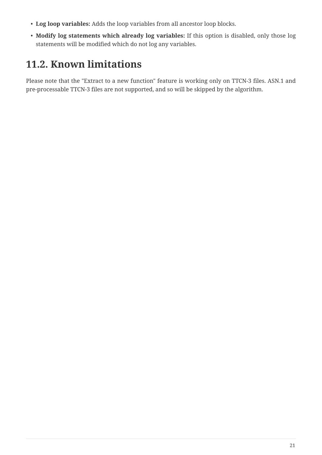- **Log loop variables:** Adds the loop variables from all ancestor loop blocks.
- **Modify log statements which already log variables:** If this option is disabled, only those log statements will be modified which do not log any variables.

## <span id="page-23-0"></span>**11.2. Known limitations**

Please note that the "Extract to a new function" feature is working only on TTCN-3 files. ASN.1 and pre-processable TTCN-3 files are not supported, and so will be skipped by the algorithm.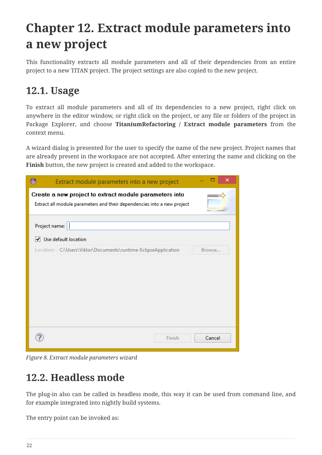# <span id="page-24-0"></span>**Chapter 12. Extract module parameters into a new project**

This functionality extracts all module parameters and all of their dependencies from an entire project to a new TITAN project. The project settings are also copied to the new project.

#### <span id="page-24-1"></span>**12.1. Usage**

To extract all module parameters and all of its dependencies to a new project, right click on anywhere in the editor window, or right click on the project, or any file or folders of the project in Package Explorer, and choose **TitaniumRefactoring / Extract module parameters** from the context menu.

A wizard dialog is presented for the user to specify the name of the new project. Project names that are already present in the workspace are not accepted. After entering the name and clicking on the **Finish** button, the new project is created and added to the workspace.

|               | ×<br>Extract module parameters into a new project                                                                                 |
|---------------|-----------------------------------------------------------------------------------------------------------------------------------|
|               | Create a new project to extract module parameters into<br>Extract all module parameters and their dependencies into a new project |
| Project name: | √ Use default location                                                                                                            |
|               | Location: C:\Users\Viktor\Documents\runtime-EclipseApplication<br>Browse                                                          |
|               | Cancel<br>Finish                                                                                                                  |

*Figure 8. Extract module parameters wizard*

### <span id="page-24-2"></span>**12.2. Headless mode**

The plug-in also can be called in headless mode, this way it can be used from command line, and for example integrated into nightly build systems.

The entry point can be invoked as: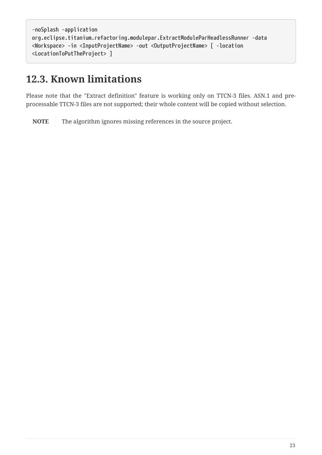```
-noSplash -application
org.eclipse.titanium.refactoring.modulepar.ExtractModuleParHeadlessRunner -data
<Workspace> -in <InputProjectName> -out <OutputProjectName> [ -location
<LocationToPutTheProject> ]
```
#### <span id="page-25-0"></span>**12.3. Known limitations**

Please note that the "Extract definition" feature is working only on TTCN-3 files. ASN.1 and preprocessable TTCN-3 files are not supported; their whole content will be copied without selection.

**NOTE** The algorithm ignores missing references in the source project.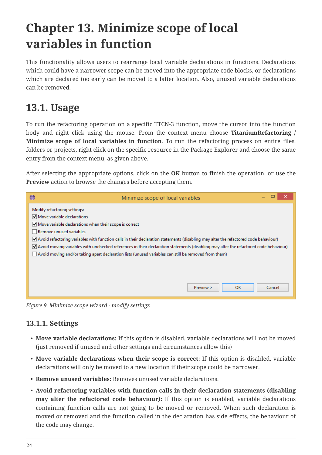# <span id="page-26-0"></span>**Chapter 13. Minimize scope of local variables in function**

This functionality allows users to rearrange local variable declarations in functions. Declarations which could have a narrower scope can be moved into the appropriate code blocks, or declarations which are declared too early can be moved to a latter location. Also, unused variable declarations can be removed.

### <span id="page-26-1"></span>**13.1. Usage**

To run the refactoring operation on a specific TTCN-3 function, move the cursor into the function body and right click using the mouse. From the context menu choose **TitaniumRefactoring / Minimize scope of local variables in function**. To run the refactoring process on entire files, folders or projects, right click on the specific resource in the Package Explorer and choose the same entry from the context menu, as given above.

After selecting the appropriate options, click on the **OK** button to finish the operation, or use the **Preview** action to browse the changes before accepting them.

| €                                                                            | Minimize scope of local variables                                                                                                    |        |
|------------------------------------------------------------------------------|--------------------------------------------------------------------------------------------------------------------------------------|--------|
| Modify refactoring settings:                                                 |                                                                                                                                      |        |
| $\blacktriangleright$ Move variable declarations                             |                                                                                                                                      |        |
| $\blacktriangleright$ Move variable declarations when their scope is correct |                                                                                                                                      |        |
| Remove unused variables                                                      |                                                                                                                                      |        |
|                                                                              | Avoid refactoring variables with function calls in their declaration statements (disabling may alter the refactored code behaviour)  |        |
|                                                                              | Avoid moving variables with unchecked references in their declaration statements (disabling may alter the refactored code behaviour) |        |
|                                                                              | Avoid moving and/or taking apart declaration lists (unused variables can still be removed from them)                                 |        |
|                                                                              |                                                                                                                                      |        |
|                                                                              |                                                                                                                                      |        |
|                                                                              |                                                                                                                                      |        |
|                                                                              | Preview ><br><b>OK</b>                                                                                                               | Cancel |

*Figure 9. Minimize scope wizard - modify settings*

#### <span id="page-26-2"></span>**13.1.1. Settings**

- **Move variable declarations:** If this option is disabled, variable declarations will not be moved (just removed if unused and other settings and circumstances allow this)
- **Move variable declarations when their scope is correct:** If this option is disabled, variable declarations will only be moved to a new location if their scope could be narrower.
- **Remove unused variables:** Removes unused variable declarations.
- **Avoid refactoring variables with function calls in their declaration statements (disabling may alter the refactored code behaviour):** If this option is enabled, variable declarations containing function calls are not going to be moved or removed. When such declaration is moved or removed and the function called in the declaration has side effects, the behaviour of the code may change.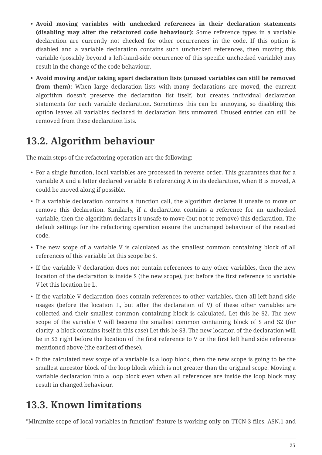- **Avoid moving variables with unchecked references in their declaration statements (disabling may alter the refactored code behaviour):** Some reference types in a variable declaration are currently not checked for other occurrences in the code. If this option is disabled and a variable declaration contains such unchecked references, then moving this variable (possibly beyond a left-hand-side occurrence of this specific unchecked variable) may result in the change of the code behaviour.
- **Avoid moving and/or taking apart declaration lists (unused variables can still be removed from them):** When large declaration lists with many declarations are moved, the current algorithm doesn't preserve the declaration list itself, but creates individual declaration statements for each variable declaration. Sometimes this can be annoying, so disabling this option leaves all variables declared in declaration lists unmoved. Unused entries can still be removed from these declaration lists.

### <span id="page-27-0"></span>**13.2. Algorithm behaviour**

The main steps of the refactoring operation are the following:

- For a single function, local variables are processed in reverse order. This guarantees that for a variable A and a latter declared variable B referencing A in its declaration, when B is moved, A could be moved along if possible.
- If a variable declaration contains a function call, the algorithm declares it unsafe to move or remove this declaration. Similarly, if a declaration contains a reference for an unchecked variable, then the algorithm declares it unsafe to move (but not to remove) this declaration. The default settings for the refactoring operation ensure the unchanged behaviour of the resulted code.
- The new scope of a variable V is calculated as the smallest common containing block of all references of this variable let this scope be S.
- If the variable V declaration does not contain references to any other variables, then the new location of the declaration is inside S (the new scope), just before the first reference to variable V let this location be L.
- If the variable V declaration does contain references to other variables, then all left hand side usages (before the location L, but after the declaration of V) of these other variables are collected and their smallest common containing block is calculated. Let this be S2. The new scope of the variable V will become the smallest common containing block of S and S2 (for clarity: a block contains itself in this case) Let this be S3. The new location of the declaration will be in S3 right before the location of the first reference to V or the first left hand side reference mentioned above (the earliest of these).
- If the calculated new scope of a variable is a loop block, then the new scope is going to be the smallest ancestor block of the loop block which is not greater than the original scope. Moving a variable declaration into a loop block even when all references are inside the loop block may result in changed behaviour.

## <span id="page-27-1"></span>**13.3. Known limitations**

"Minimize scope of local variables in function" feature is working only on TTCN-3 files. ASN.1 and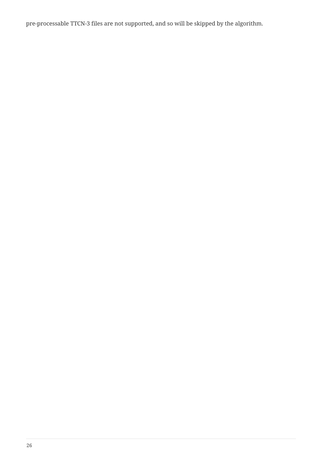pre-processable TTCN-3 files are not supported, and so will be skipped by the algorithm.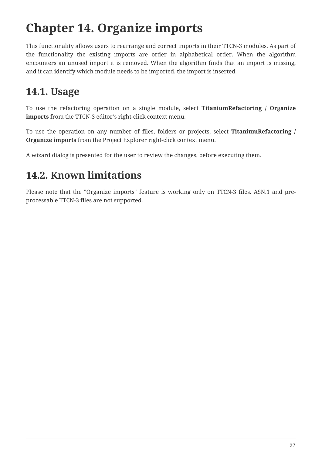# <span id="page-29-0"></span>**Chapter 14. Organize imports**

This functionality allows users to rearrange and correct imports in their TTCN-3 modules. As part of the functionality the existing imports are order in alphabetical order. When the algorithm encounters an unused import it is removed. When the algorithm finds that an import is missing, and it can identify which module needs to be imported, the import is inserted.

### <span id="page-29-1"></span>**14.1. Usage**

To use the refactoring operation on a single module, select **TitaniumRefactoring / Organize imports** from the TTCN-3 editor's right-click context menu.

To use the operation on any number of files, folders or projects, select **TitaniumRefactoring / Organize imports** from the Project Explorer right-click context menu.

A wizard dialog is presented for the user to review the changes, before executing them.

## <span id="page-29-2"></span>**14.2. Known limitations**

Please note that the "Organize imports" feature is working only on TTCN-3 files. ASN.1 and preprocessable TTCN-3 files are not supported.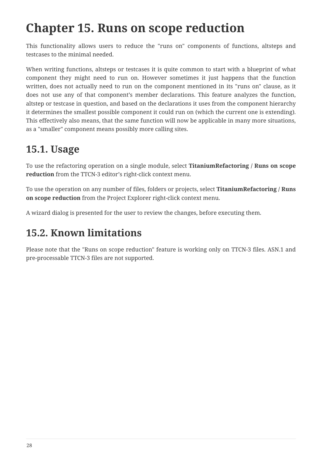# <span id="page-30-0"></span>**Chapter 15. Runs on scope reduction**

This functionality allows users to reduce the "runs on" components of functions, altsteps and testcases to the minimal needed.

When writing functions, altsteps or testcases it is quite common to start with a blueprint of what component they might need to run on. However sometimes it just happens that the function written, does not actually need to run on the component mentioned in its "runs on" clause, as it does not use any of that component's member declarations. This feature analyzes the function, altstep or testcase in question, and based on the declarations it uses from the component hierarchy it determines the smallest possible component it could run on (which the current one is extending). This effectively also means, that the same function will now be applicable in many more situations, as a "smaller" component means possibly more calling sites.

## <span id="page-30-1"></span>**15.1. Usage**

To use the refactoring operation on a single module, select **TitaniumRefactoring / Runs on scope reduction** from the TTCN-3 editor's right-click context menu.

To use the operation on any number of files, folders or projects, select **TitaniumRefactoring / Runs on scope reduction** from the Project Explorer right-click context menu.

A wizard dialog is presented for the user to review the changes, before executing them.

### <span id="page-30-2"></span>**15.2. Known limitations**

Please note that the "Runs on scope reduction" feature is working only on TTCN-3 files. ASN.1 and pre-processable TTCN-3 files are not supported.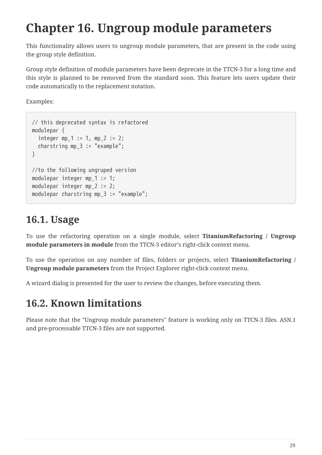# <span id="page-31-0"></span>**Chapter 16. Ungroup module parameters**

This functionality allows users to ungroup module parameters, that are present in the code using the group style definition.

Group style definition of module parameters have been deprecate in the TTCN-3 for a long time and this style is planned to be removed from the standard soon. This feature lets users update their code automatically to the replacement notation.

Examples:

```
// this deprecated syntax is refactored
modulepar {
  integer mp_1 := 1, mp_2 := 2;
    charstring mp_3 := "example";
}
//to the following ungruped version
modulepar integer mp 1 := 1;
modulepar integer mp 2 := 2;
modulepar charstring mp_3 := "example";
```
### <span id="page-31-1"></span>**16.1. Usage**

To use the refactoring operation on a single module, select **TitaniumRefactoring / Ungroup module parameters in module** from the TTCN-3 editor's right-click context menu.

To use the operation on any number of files, folders or projects, select **TitaniumRefactoring / Ungroup module parameters** from the Project Explorer right-click context menu.

A wizard dialog is presented for the user to review the changes, before executing them.

# <span id="page-31-2"></span>**16.2. Known limitations**

Please note that the "Ungroup module parameters" feature is working only on TTCN-3 files. ASN.1 and pre-processable TTCN-3 files are not supported.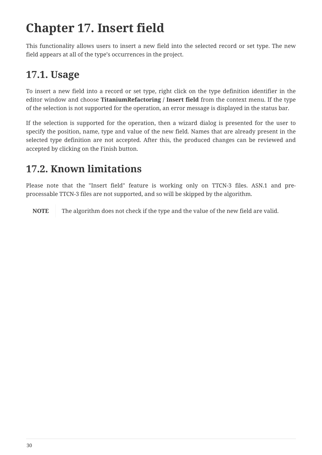# <span id="page-32-0"></span>**Chapter 17. Insert field**

This functionality allows users to insert a new field into the selected record or set type. The new field appears at all of the type's occurrences in the project.

# <span id="page-32-1"></span>**17.1. Usage**

To insert a new field into a record or set type, right click on the type definition identifier in the editor window and choose **TitaniumRefactoring / Insert field** from the context menu. If the type of the selection is not supported for the operation, an error message is displayed in the status bar.

If the selection is supported for the operation, then a wizard dialog is presented for the user to specify the position, name, type and value of the new field. Names that are already present in the selected type definition are not accepted. After this, the produced changes can be reviewed and accepted by clicking on the Finish button.

## <span id="page-32-2"></span>**17.2. Known limitations**

Please note that the "Insert field" feature is working only on TTCN-3 files. ASN.1 and preprocessable TTCN-3 files are not supported, and so will be skipped by the algorithm.

**NOTE** The algorithm does not check if the type and the value of the new field are valid.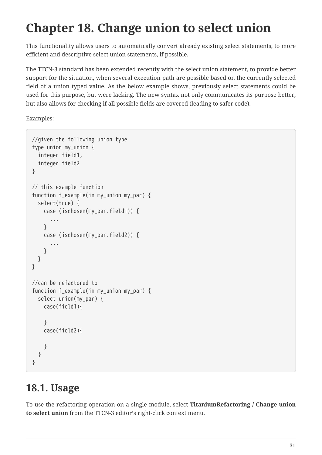# <span id="page-33-0"></span>**Chapter 18. Change union to select union**

This functionality allows users to automatically convert already existing select statements, to more efficient and descriptive select union statements, if possible.

The TTCN-3 standard has been extended recently with the select union statement, to provide better support for the situation, when several execution path are possible based on the currently selected field of a union typed value. As the below example shows, previously select statements could be used for this purpose, but were lacking. The new syntax not only communicates its purpose better, but also allows for checking if all possible fields are covered (leading to safer code).

Examples:

```
//given the following union type
type union my_union {
    integer field1,
    integer field2
}
// this example function
function f_example(in my_union my_par) {
    select(true) {
      case (ischosen(my_par.field1)) {
         ...
      }
      case (ischosen(my_par.field2)) {
         ...
      }
    }
}
//can be refactored to
function f_example(in my_union my_par) {
    select union(my_par) {
      case(field1){
      }
      case(field2){
      }
    }
}
```
# <span id="page-33-1"></span>**18.1. Usage**

To use the refactoring operation on a single module, select **TitaniumRefactoring / Change union to select union** from the TTCN-3 editor's right-click context menu.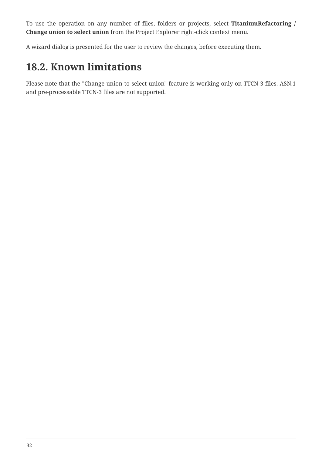To use the operation on any number of files, folders or projects, select **TitaniumRefactoring / Change union to select union** from the Project Explorer right-click context menu.

A wizard dialog is presented for the user to review the changes, before executing them.

# <span id="page-34-0"></span>**18.2. Known limitations**

Please note that the "Change union to select union" feature is working only on TTCN-3 files. ASN.1 and pre-processable TTCN-3 files are not supported.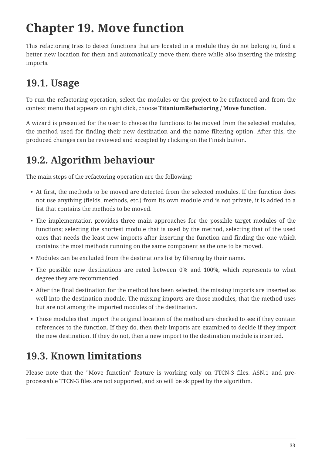# <span id="page-35-0"></span>**Chapter 19. Move function**

This refactoring tries to detect functions that are located in a module they do not belong to, find a better new location for them and automatically move them there while also inserting the missing imports.

# <span id="page-35-1"></span>**19.1. Usage**

To run the refactoring operation, select the modules or the project to be refactored and from the context menu that appears on right click, choose **TitaniumRefactoring / Move function**.

A wizard is presented for the user to choose the functions to be moved from the selected modules, the method used for finding their new destination and the name filtering option. After this, the produced changes can be reviewed and accepted by clicking on the Finish button.

# <span id="page-35-2"></span>**19.2. Algorithm behaviour**

The main steps of the refactoring operation are the following:

- At first, the methods to be moved are detected from the selected modules. If the function does not use anything (fields, methods, etc.) from its own module and is not private, it is added to a list that contains the methods to be moved.
- The implementation provides three main approaches for the possible target modules of the functions; selecting the shortest module that is used by the method, selecting that of the used ones that needs the least new imports after inserting the function and finding the one which contains the most methods running on the same component as the one to be moved.
- Modules can be excluded from the destinations list by filtering by their name.
- The possible new destinations are rated between 0% and 100%, which represents to what degree they are recommended.
- After the final destination for the method has been selected, the missing imports are inserted as well into the destination module. The missing imports are those modules, that the method uses but are not among the imported modules of the destination.
- Those modules that import the original location of the method are checked to see if they contain references to the function. If they do, then their imports are examined to decide if they import the new destination. If they do not, then a new import to the destination module is inserted.

## <span id="page-35-3"></span>**19.3. Known limitations**

Please note that the "Move function" feature is working only on TTCN-3 files. ASN.1 and preprocessable TTCN-3 files are not supported, and so will be skipped by the algorithm.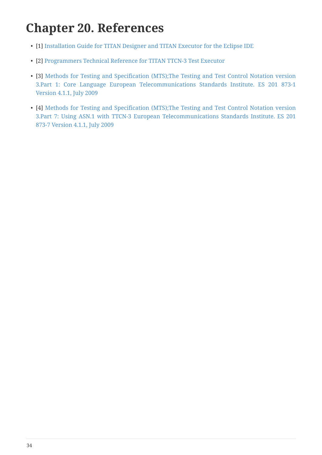# <span id="page-36-0"></span>**Chapter 20. References**

- <span id="page-36-4"></span>• [1] [Installation Guide for TITAN Designer and TITAN Executor for the Eclipse IDE](https://gitlab.eclipse.org/eclipse/titan/titan.EclipsePlug-ins/blob/master/org.eclipse.titan.help/docs/Eclipse_installationguide/Eclipse_installationguide.adoc)
- <span id="page-36-3"></span>• [2] [Programmers Technical Reference for TITAN TTCN-3 Test Executor](https://gitlab.eclipse.org/eclipse/titan/titan.core/blob/master/usrguide/referenceguide/ReferenceGuide.adoc)
- <span id="page-36-1"></span>• [3] [Methods for Testing and Specification \(MTS\);The Testing and Test Control Notation version](http://www.etsi.org/deliver/etsi_es/201800_201899/20187301/04.01.01_60/es_20187301v040101p.pdf) [3.Part 1: Core Language European Telecommunications Standards Institute. ES 201 873-1](http://www.etsi.org/deliver/etsi_es/201800_201899/20187301/04.01.01_60/es_20187301v040101p.pdf) [Version 4.1.1, July 2009](http://www.etsi.org/deliver/etsi_es/201800_201899/20187301/04.01.01_60/es_20187301v040101p.pdf)
- <span id="page-36-2"></span>• [4] [Methods for Testing and Specification \(MTS\);The Testing and Test Control Notation version](http://www.etsi.org/deliver/etsi_es/201800_201899/20187307/04.01.01_60/es_20187307v040101p.pdf) [3.Part 7: Using ASN.1 with TTCN-3 European Telecommunications Standards Institute. ES 201](http://www.etsi.org/deliver/etsi_es/201800_201899/20187307/04.01.01_60/es_20187307v040101p.pdf) [873-7 Version 4.1.1, July 2009](http://www.etsi.org/deliver/etsi_es/201800_201899/20187307/04.01.01_60/es_20187307v040101p.pdf)